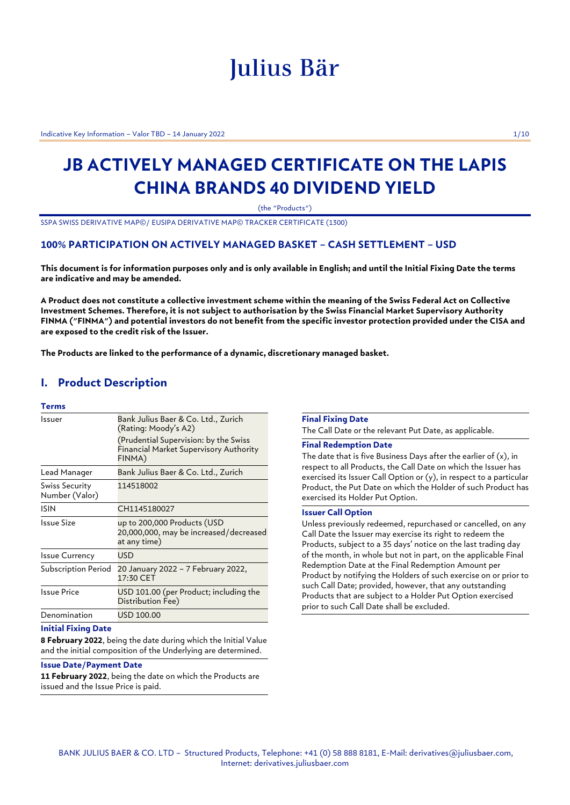# Julius Bär

Indicative Key Information – Valor TBD – 14 January 2022 1/10

## **JB ACTIVELY MANAGED CERTIFICATE ON THE LAPIS CHINA BRANDS 40 DIVIDEND YIELD**

(the "Products")

SSPA SWISS DERIVATIVE MAP©/ EUSIPA DERIVATIVE MAP© TRACKER CERTIFICATE (1300)

## **100% PARTICIPATION ON ACTIVELY MANAGED BASKET – CASH SETTLEMENT – USD**

**This document is for information purposes only and is only available in English; and until the Initial Fixing Date the terms are indicative and may be amended.**

**A Product does not constitute a collective investment scheme within the meaning of the Swiss Federal Act on Collective Investment Schemes. Therefore, it is not subject to authorisation by the Swiss Financial Market Supervisory Authority FINMA ("FINMA") and potential investors do not benefit from the specific investor protection provided under the CISA and are exposed to the credit risk of the Issuer.**

**The Products are linked to the performance of a dynamic, discretionary managed basket.**

## **I. Product Description**

## **Terms**

| Issuer                           | Bank Julius Baer & Co. Ltd., Zurich<br>(Rating: Moody's A2)<br>(Prudential Supervision: by the Swiss<br>Financial Market Supervisory Authority<br>FINMA) |
|----------------------------------|----------------------------------------------------------------------------------------------------------------------------------------------------------|
| Lead Manager                     | Bank Julius Baer & Co. Ltd., Zurich                                                                                                                      |
| Swiss Security<br>Number (Valor) | 114518002                                                                                                                                                |
| ISIN                             | CH1145180027                                                                                                                                             |
| Issue Size                       | up to 200,000 Products (USD<br>20,000,000, may be increased/decreased<br>at any time)                                                                    |
| <b>Issue Currency</b>            | USD                                                                                                                                                      |
| Subscription Period              | 20 January 2022 - 7 February 2022,<br>17:30 CET                                                                                                          |
| <b>Issue Price</b>               | USD 101.00 (per Product; including the<br>Distribution Fee)                                                                                              |
| Denomination                     | USD 100.00                                                                                                                                               |

## **Initial Fixing Date**

**8 February 2022**, being the date during which the Initial Value and the initial composition of the Underlying are determined.

## **Issue Date/Payment Date**

**11 February 2022**, being the date on which the Products are issued and the Issue Price is paid.

#### **Final Fixing Date**

The Call Date or the relevant Put Date, as applicable.

## **Final Redemption Date**

The date that is five Business Days after the earlier of (x), in respect to all Products, the Call Date on which the Issuer has exercised its Issuer Call Option or (y), in respect to a particular Product, the Put Date on which the Holder of such Product has exercised its Holder Put Option.

## **Issuer Call Option**

Unless previously redeemed, repurchased or cancelled, on any Call Date the Issuer may exercise its right to redeem the Products, subject to a 35 days' notice on the last trading day of the month, in whole but not in part, on the applicable Final Redemption Date at the Final Redemption Amount per Product by notifying the Holders of such exercise on or prior to such Call Date; provided, however, that any outstanding Products that are subject to a Holder Put Option exercised prior to such Call Date shall be excluded.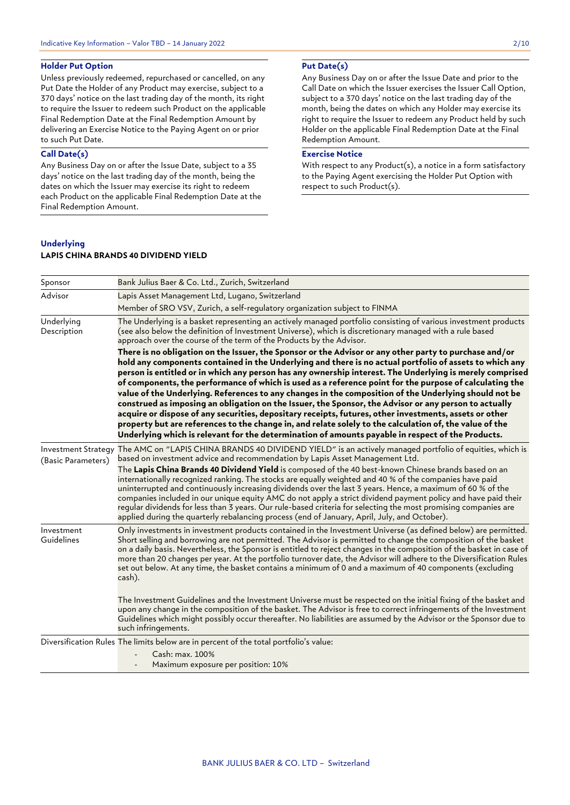## **Holder Put Option**

Unless previously redeemed, repurchased or cancelled, on any Put Date the Holder of any Product may exercise, subject to a 370 days' notice on the last trading day of the month, its right to require the Issuer to redeem such Product on the applicable Final Redemption Date at the Final Redemption Amount by delivering an Exercise Notice to the Paying Agent on or prior to such Put Date.

## **Call Date(s)**

Any Business Day on or after the Issue Date, subject to a 35 days' notice on the last trading day of the month, being the dates on which the Issuer may exercise its right to redeem each Product on the applicable Final Redemption Date at the Final Redemption Amount.

## **Put Date(s)**

Any Business Day on or after the Issue Date and prior to the Call Date on which the Issuer exercises the Issuer Call Option, subject to a 370 days' notice on the last trading day of the month, being the dates on which any Holder may exercise its right to require the Issuer to redeem any Product held by such Holder on the applicable Final Redemption Date at the Final Redemption Amount.

## **Exercise Notice**

With respect to any Product(s), a notice in a form satisfactory to the Paying Agent exercising the Holder Put Option with respect to such Product(s).

## **Underlying LAPIS CHINA BRANDS 40 DIVIDEND YIELD**

| Sponsor                   | Bank Julius Baer & Co. Ltd., Zurich, Switzerland                                                                                                                                                                                                                                                                                                                                                                                                                                                                                                                                                                                                                                                                                                                                                                                                                                  |
|---------------------------|-----------------------------------------------------------------------------------------------------------------------------------------------------------------------------------------------------------------------------------------------------------------------------------------------------------------------------------------------------------------------------------------------------------------------------------------------------------------------------------------------------------------------------------------------------------------------------------------------------------------------------------------------------------------------------------------------------------------------------------------------------------------------------------------------------------------------------------------------------------------------------------|
| Advisor                   | Lapis Asset Management Ltd, Lugano, Switzerland                                                                                                                                                                                                                                                                                                                                                                                                                                                                                                                                                                                                                                                                                                                                                                                                                                   |
|                           | Member of SRO VSV, Zurich, a self-requlatory organization subject to FINMA                                                                                                                                                                                                                                                                                                                                                                                                                                                                                                                                                                                                                                                                                                                                                                                                        |
| Underlying<br>Description | The Underlying is a basket representing an actively managed portfolio consisting of various investment products<br>(see also below the definition of Investment Universe), which is discretionary managed with a rule based<br>approach over the course of the term of the Products by the Advisor.<br>There is no obligation on the Issuer, the Sponsor or the Advisor or any other party to purchase and/or<br>hold any components contained in the Underlying and there is no actual portfolio of assets to which any<br>person is entitled or in which any person has any ownership interest. The Underlying is merely comprised                                                                                                                                                                                                                                              |
|                           | of components, the performance of which is used as a reference point for the purpose of calculating the<br>value of the Underlying. References to any changes in the composition of the Underlying should not be<br>construed as imposing an obligation on the Issuer, the Sponsor, the Advisor or any person to actually<br>acquire or dispose of any securities, depositary receipts, futures, other investments, assets or other<br>property but are references to the change in, and relate solely to the calculation of, the value of the<br>Underlying which is relevant for the determination of amounts payable in respect of the Products.                                                                                                                                                                                                                               |
| (Basic Parameters)        | Investment Strategy The AMC on "LAPIS CHINA BRANDS 40 DIVIDEND YIELD" is an actively managed portfolio of equities, which is<br>based on investment advice and recommendation by Lapis Asset Management Ltd.<br>The Lapis China Brands 40 Dividend Yield is composed of the 40 best-known Chinese brands based on an<br>internationally recognized ranking. The stocks are equally weighted and 40 % of the companies have paid<br>uninterrupted and continuously increasing dividends over the last 3 years. Hence, a maximum of 60 % of the<br>companies included in our unique equity AMC do not apply a strict dividend payment policy and have paid their<br>reqular dividends for less than 3 years. Our rule-based criteria for selecting the most promising companies are<br>applied during the quarterly rebalancing process (end of January, April, July, and October). |
| Investment<br>Guidelines  | Only investments in investment products contained in the Investment Universe (as defined below) are permitted.<br>Short selling and borrowing are not permitted. The Advisor is permitted to change the composition of the basket<br>on a daily basis. Nevertheless, the Sponsor is entitled to reject changes in the composition of the basket in case of<br>more than 20 changes per year. At the portfolio turnover date, the Advisor will adhere to the Diversification Rules<br>set out below. At any time, the basket contains a minimum of 0 and a maximum of 40 components (excluding<br>cash).                                                                                                                                                                                                                                                                           |
|                           | The Investment Guidelines and the Investment Universe must be respected on the initial fixing of the basket and<br>upon any change in the composition of the basket. The Advisor is free to correct infringements of the Investment<br>Guidelines which might possibly occur thereafter. No liabilities are assumed by the Advisor or the Sponsor due to<br>such infringements.                                                                                                                                                                                                                                                                                                                                                                                                                                                                                                   |
|                           | Diversification Rules The limits below are in percent of the total portfolio's value:                                                                                                                                                                                                                                                                                                                                                                                                                                                                                                                                                                                                                                                                                                                                                                                             |
|                           | Cash: max. 100%                                                                                                                                                                                                                                                                                                                                                                                                                                                                                                                                                                                                                                                                                                                                                                                                                                                                   |
|                           | Maximum exposure per position: 10%                                                                                                                                                                                                                                                                                                                                                                                                                                                                                                                                                                                                                                                                                                                                                                                                                                                |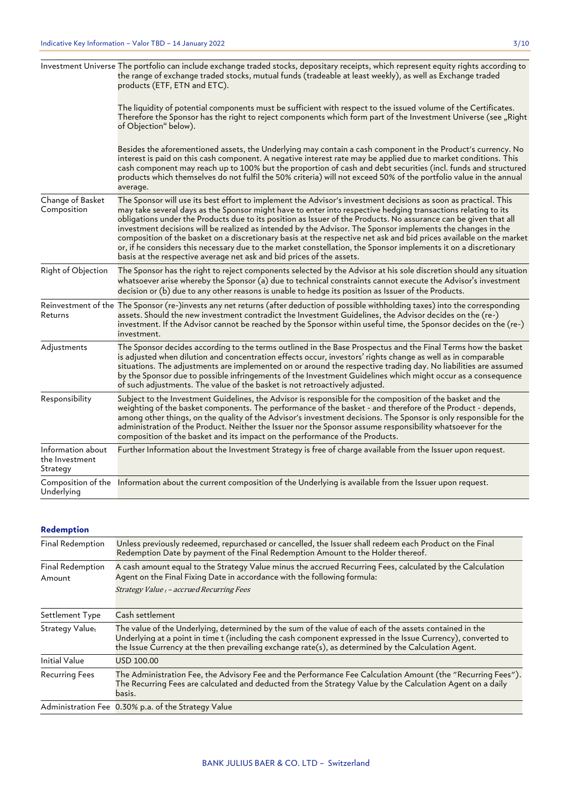|                                                 | Investment Universe The portfolio can include exchange traded stocks, depositary receipts, which represent equity rights according to<br>the range of exchange traded stocks, mutual funds (tradeable at least weekly), as well as Exchange traded<br>products (ETF, ETN and ETC).                                                                                                                                                                                                                                                                                                                                                                                                                                                                                                      |
|-------------------------------------------------|-----------------------------------------------------------------------------------------------------------------------------------------------------------------------------------------------------------------------------------------------------------------------------------------------------------------------------------------------------------------------------------------------------------------------------------------------------------------------------------------------------------------------------------------------------------------------------------------------------------------------------------------------------------------------------------------------------------------------------------------------------------------------------------------|
|                                                 | The liquidity of potential components must be sufficient with respect to the issued volume of the Certificates.<br>Therefore the Sponsor has the right to reject components which form part of the Investment Universe (see "Right<br>of Objection" below).                                                                                                                                                                                                                                                                                                                                                                                                                                                                                                                             |
|                                                 | Besides the aforementioned assets, the Underlying may contain a cash component in the Product's currency. No<br>interest is paid on this cash component. A negative interest rate may be applied due to market conditions. This<br>cash component may reach up to 100% but the proportion of cash and debt securities (incl. funds and structured<br>products which themselves do not fulfil the 50% criteria) will not exceed 50% of the portfolio value in the annual<br>average.                                                                                                                                                                                                                                                                                                     |
| Change of Basket<br>Composition                 | The Sponsor will use its best effort to implement the Advisor's investment decisions as soon as practical. This<br>may take several days as the Sponsor might have to enter into respective hedging transactions relating to its<br>obligations under the Products due to its position as Issuer of the Products. No assurance can be given that all<br>investment decisions will be realized as intended by the Advisor. The Sponsor implements the changes in the<br>composition of the basket on a discretionary basis at the respective net ask and bid prices available on the market<br>or, if he considers this necessary due to the market constellation, the Sponsor implements it on a discretionary<br>basis at the respective average net ask and bid prices of the assets. |
| Right of Objection                              | The Sponsor has the right to reject components selected by the Advisor at his sole discretion should any situation<br>whatsoever arise whereby the Sponsor (a) due to technical constraints cannot execute the Advisor's investment<br>decision or (b) due to any other reasons is unable to hedge its position as Issuer of the Products.                                                                                                                                                                                                                                                                                                                                                                                                                                              |
| Returns                                         | Reinvestment of the The Sponsor (re-)invests any net returns (after deduction of possible withholding taxes) into the corresponding<br>assets. Should the new investment contradict the Investment Guidelines, the Advisor decides on the (re-)<br>investment. If the Advisor cannot be reached by the Sponsor within useful time, the Sponsor decides on the (re-)<br>investment.                                                                                                                                                                                                                                                                                                                                                                                                      |
| Adjustments                                     | The Sponsor decides according to the terms outlined in the Base Prospectus and the Final Terms how the basket<br>is adjusted when dilution and concentration effects occur, investors' rights change as well as in comparable<br>situations. The adjustments are implemented on or around the respective trading day. No liabilities are assumed<br>by the Sponsor due to possible infringements of the Investment Guidelines which might occur as a consequence<br>of such adjustments. The value of the basket is not retroactively adjusted.                                                                                                                                                                                                                                         |
| Responsibility                                  | Subject to the Investment Guidelines, the Advisor is responsible for the composition of the basket and the<br>weighting of the basket components. The performance of the basket - and therefore of the Product - depends,<br>among other things, on the quality of the Advisor's investment decisions. The Sponsor is only responsible for the<br>administration of the Product. Neither the Issuer nor the Sponsor assume responsibility whatsoever for the<br>composition of the basket and its impact on the performance of the Products.                                                                                                                                                                                                                                            |
| Information about<br>the Investment<br>Strategy | Further Information about the Investment Strategy is free of charge available from the Issuer upon request.                                                                                                                                                                                                                                                                                                                                                                                                                                                                                                                                                                                                                                                                             |
| Underlying                                      | Composition of the Information about the current composition of the Underlying is available from the Issuer upon request.                                                                                                                                                                                                                                                                                                                                                                                                                                                                                                                                                                                                                                                               |

## **Redemption**

| Final Redemption           | Unless previously redeemed, repurchased or cancelled, the Issuer shall redeem each Product on the Final<br>Redemption Date by payment of the Final Redemption Amount to the Holder thereof.                                                                                                                                   |
|----------------------------|-------------------------------------------------------------------------------------------------------------------------------------------------------------------------------------------------------------------------------------------------------------------------------------------------------------------------------|
| Final Redemption<br>Amount | A cash amount equal to the Strategy Value minus the accrued Recurring Fees, calculated by the Calculation<br>Agent on the Final Fixing Date in accordance with the following formula:<br>Strategy Value t - accrued Recurring Fees                                                                                            |
| Settlement Type            | Cash settlement                                                                                                                                                                                                                                                                                                               |
| Strategy Valuet            | The value of the Underlying, determined by the sum of the value of each of the assets contained in the<br>Underlying at a point in time t (including the cash component expressed in the Issue Currency), converted to<br>the Issue Currency at the then prevailing exchange rate(s), as determined by the Calculation Agent. |
| <b>Initial Value</b>       | USD 100.00                                                                                                                                                                                                                                                                                                                    |
| <b>Recurring Fees</b>      | The Administration Fee, the Advisory Fee and the Performance Fee Calculation Amount (the "Recurring Fees").<br>The Recurring Fees are calculated and deducted from the Strategy Value by the Calculation Agent on a daily<br>basis.                                                                                           |
|                            | Administration Fee 0.30% p.a. of the Strategy Value                                                                                                                                                                                                                                                                           |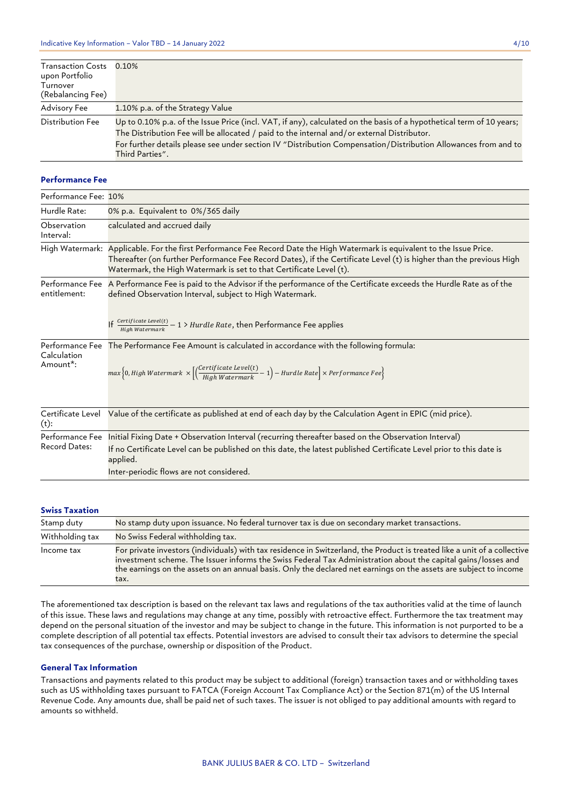| <b>Transaction Costs</b><br>upon Portfolio | 0.10%                                                                                                                                                                                                                                                                                                                                                   |
|--------------------------------------------|---------------------------------------------------------------------------------------------------------------------------------------------------------------------------------------------------------------------------------------------------------------------------------------------------------------------------------------------------------|
| Turnover<br>(Rebalancing Fee)              |                                                                                                                                                                                                                                                                                                                                                         |
| Advisory Fee                               | 1.10% p.a. of the Strategy Value                                                                                                                                                                                                                                                                                                                        |
| Distribution Fee                           | Up to 0.10% p.a. of the Issue Price (incl. VAT, if any), calculated on the basis of a hypothetical term of 10 years;<br>The Distribution Fee will be allocated / paid to the internal and/or external Distributor.<br>For further details please see under section IV "Distribution Compensation/Distribution Allowances from and to<br>Third Parties". |

## **Performance Fee**

| Performance Fee: 10%                    |                                                                                                                                                                                                                                                                                                                          |
|-----------------------------------------|--------------------------------------------------------------------------------------------------------------------------------------------------------------------------------------------------------------------------------------------------------------------------------------------------------------------------|
| Hurdle Rate:                            | 0% p.a. Equivalent to 0%/365 daily                                                                                                                                                                                                                                                                                       |
| Observation<br>Interval:                | calculated and accrued daily                                                                                                                                                                                                                                                                                             |
|                                         | High Watermark: Applicable. For the first Performance Fee Record Date the High Watermark is equivalent to the Issue Price.<br>Thereafter (on further Performance Fee Record Dates), if the Certificate Level (t) is higher than the previous High<br>Watermark, the High Watermark is set to that Certificate Level (t). |
| Performance Fee<br>entitlement:         | A Performance Fee is paid to the Advisor if the performance of the Certificate exceeds the Hurdle Rate as of the<br>defined Observation Interval, subject to High Watermark.                                                                                                                                             |
|                                         | If $\frac{\text{Certificate Level(t)}}{\text{High Watermark}} - 1$ > Hurdle Rate, then Performance Fee applies                                                                                                                                                                                                           |
| Calculation<br>Amount <sup>*</sup> :    | Performance Fee The Performance Fee Amount is calculated in accordance with the following formula:<br>$max\Big\{0, High Water mark \times \Big[\Big(\frac{Certification \: level(t)}{Hiah Water mark} - 1\Big) - Hurdle \: Rate\Big] \times Performance\:Fee\Big\}$                                                      |
| Certificate Level<br>$(t)$ :            | Value of the certificate as published at end of each day by the Calculation Agent in EPIC (mid price).                                                                                                                                                                                                                   |
| Performance Fee<br><b>Record Dates:</b> | Initial Fixing Date + Observation Interval (recurring thereafter based on the Observation Interval)                                                                                                                                                                                                                      |
|                                         | If no Certificate Level can be published on this date, the latest published Certificate Level prior to this date is<br>applied.                                                                                                                                                                                          |
|                                         | Inter-periodic flows are not considered.                                                                                                                                                                                                                                                                                 |

## **Swiss Taxation**

| Stamp duty      | No stamp duty upon issuance. No federal turnover tax is due on secondary market transactions.                                                                                                                                                                                                                                                                           |
|-----------------|-------------------------------------------------------------------------------------------------------------------------------------------------------------------------------------------------------------------------------------------------------------------------------------------------------------------------------------------------------------------------|
| Withholding tax | No Swiss Federal withholding tax.                                                                                                                                                                                                                                                                                                                                       |
| Income tax      | For private investors (individuals) with tax residence in Switzerland, the Product is treated like a unit of a collective<br>investment scheme. The Issuer informs the Swiss Federal Tax Administration about the capital gains/losses and<br>the earnings on the assets on an annual basis. Only the declared net earnings on the assets are subject to income<br>tax. |

The aforementioned tax description is based on the relevant tax laws and regulations of the tax authorities valid at the time of launch of this issue. These laws and regulations may change at any time, possibly with retroactive effect. Furthermore the tax treatment may depend on the personal situation of the investor and may be subject to change in the future. This information is not purported to be a complete description of all potential tax effects. Potential investors are advised to consult their tax advisors to determine the special tax consequences of the purchase, ownership or disposition of the Product.

### **General Tax Information**

Transactions and payments related to this product may be subject to additional (foreign) transaction taxes and or withholding taxes such as US withholding taxes pursuant to FATCA (Foreign Account Tax Compliance Act) or the Section 871(m) of the US Internal Revenue Code. Any amounts due, shall be paid net of such taxes. The issuer is not obliged to pay additional amounts with regard to amounts so withheld.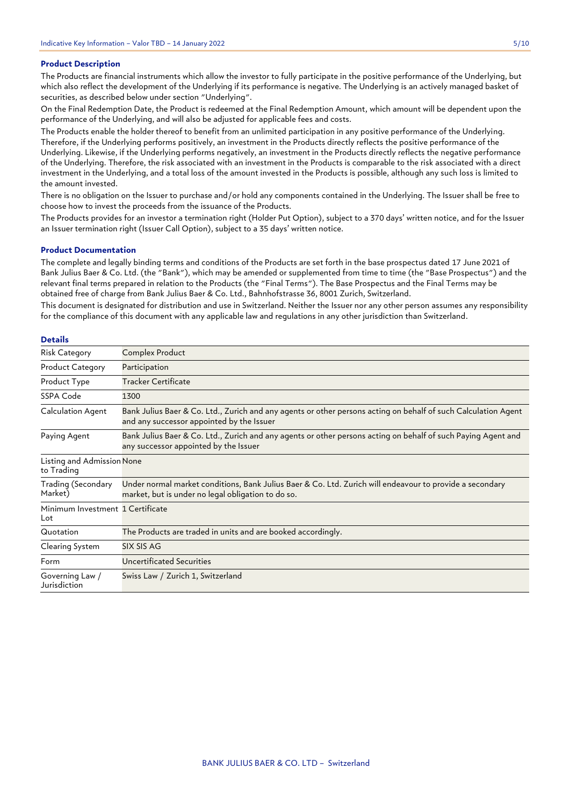## **Product Description**

The Products are financial instruments which allow the investor to fully participate in the positive performance of the Underlying, but which also reflect the development of the Underlying if its performance is negative. The Underlying is an actively managed basket of securities, as described below under section "Underlying".

On the Final Redemption Date, the Product is redeemed at the Final Redemption Amount, which amount will be dependent upon the performance of the Underlying, and will also be adjusted for applicable fees and costs.

The Products enable the holder thereof to benefit from an unlimited participation in any positive performance of the Underlying. Therefore, if the Underlying performs positively, an investment in the Products directly reflects the positive performance of the Underlying. Likewise, if the Underlying performs negatively, an investment in the Products directly reflects the negative performance of the Underlying. Therefore, the risk associated with an investment in the Products is comparable to the risk associated with a direct investment in the Underlying, and a total loss of the amount invested in the Products is possible, although any such loss is limited to the amount invested.

There is no obligation on the Issuer to purchase and/or hold any components contained in the Underlying. The Issuer shall be free to choose how to invest the proceeds from the issuance of the Products.

The Products provides for an investor a termination right (Holder Put Option), subject to a 370 days' written notice, and for the Issuer an Issuer termination right (Issuer Call Option), subject to a 35 days' written notice.

## **Product Documentation**

The complete and legally binding terms and conditions of the Products are set forth in the base prospectus dated 17 June 2021 of Bank Julius Baer & Co. Ltd. (the "Bank"), which may be amended or supplemented from time to time (the "Base Prospectus") and the relevant final terms prepared in relation to the Products (the "Final Terms"). The Base Prospectus and the Final Terms may be obtained free of charge from Bank Julius Baer & Co. Ltd., Bahnhofstrasse 36, 8001 Zurich, Switzerland.

This document is designated for distribution and use in Switzerland. Neither the Issuer nor any other person assumes any responsibility for the compliance of this document with any applicable law and regulations in any other jurisdiction than Switzerland.

## **Details**

| <b>Risk Category</b>                     | Complex Product                                                                                                                                                |
|------------------------------------------|----------------------------------------------------------------------------------------------------------------------------------------------------------------|
| <b>Product Category</b>                  | Participation                                                                                                                                                  |
| Product Type                             | Tracker Certificate                                                                                                                                            |
| SSPA Code                                | 1300                                                                                                                                                           |
| Calculation Agent                        | Bank Julius Baer & Co. Ltd., Zurich and any agents or other persons acting on behalf of such Calculation Agent<br>and any successor appointed by the Issuer    |
| Paying Agent                             | Bank Julius Baer & Co. Ltd., Zurich and any agents or other persons acting on behalf of such Paying Agent and<br>any successor appointed by the Issuer         |
| Listing and Admission None<br>to Trading |                                                                                                                                                                |
| Trading (Secondary<br>Market)            | Under normal market conditions, Bank Julius Baer & Co. Ltd. Zurich will endeavour to provide a secondary<br>market, but is under no legal obligation to do so. |
| Minimum Investment 1 Certificate<br>Lot  |                                                                                                                                                                |
| Quotation                                | The Products are traded in units and are booked accordingly.                                                                                                   |
| Clearing System                          | SIX SIS AG                                                                                                                                                     |
| Form                                     | Uncertificated Securities                                                                                                                                      |
| Governing Law /<br>Jurisdiction          | Swiss Law / Zurich 1, Switzerland                                                                                                                              |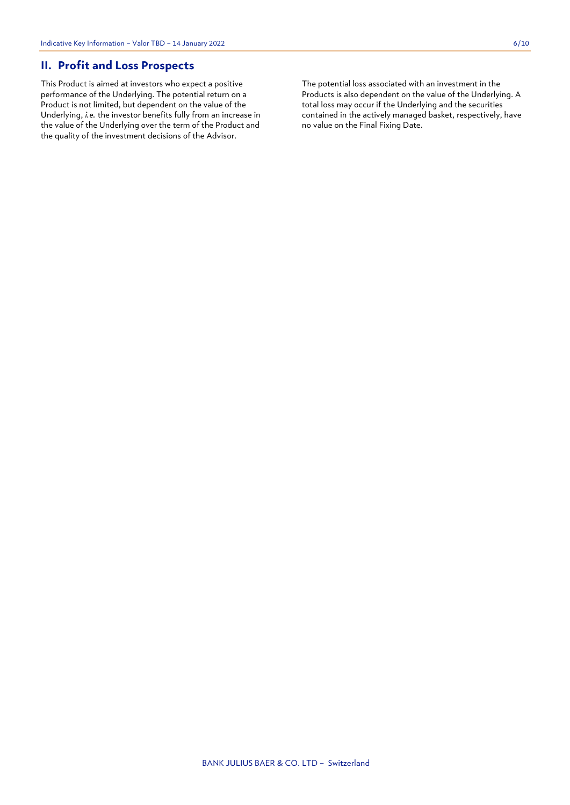## **II. Profit and Loss Prospects**

This Product is aimed at investors who expect a positive performance of the Underlying. The potential return on a Product is not limited, but dependent on the value of the Underlying, *i.e.* the investor benefits fully from an increase in the value of the Underlying over the term of the Product and the quality of the investment decisions of the Advisor.

The potential loss associated with an investment in the Products is also dependent on the value of the Underlying. A total loss may occur if the Underlying and the securities contained in the actively managed basket, respectively, have no value on the Final Fixing Date.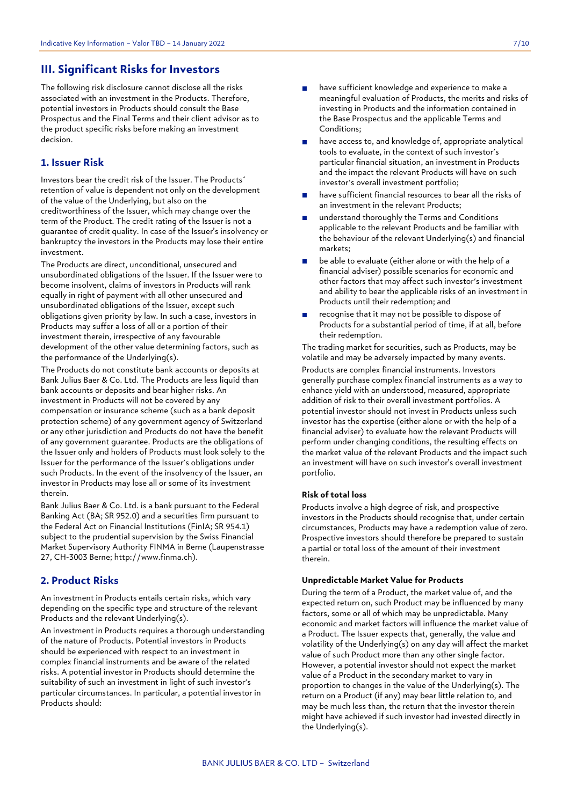## **III. Significant Risks for Investors**

The following risk disclosure cannot disclose all the risks associated with an investment in the Products. Therefore, potential investors in Products should consult the Base Prospectus and the Final Terms and their client advisor as to the product specific risks before making an investment decision.

## **1. Issuer Risk**

Investors bear the credit risk of the Issuer. The Products´ retention of value is dependent not only on the development of the value of the Underlying, but also on the creditworthiness of the Issuer, which may change over the term of the Product. The credit rating of the Issuer is not a guarantee of credit quality. In case of the Issuer's insolvency or bankruptcy the investors in the Products may lose their entire investment.

The Products are direct, unconditional, unsecured and unsubordinated obligations of the Issuer. If the Issuer were to become insolvent, claims of investors in Products will rank equally in right of payment with all other unsecured and unsubordinated obligations of the Issuer, except such obligations given priority by law. In such a case, investors in Products may suffer a loss of all or a portion of their investment therein, irrespective of any favourable development of the other value determining factors, such as the performance of the Underlying(s).

The Products do not constitute bank accounts or deposits at Bank Julius Baer & Co. Ltd. The Products are less liquid than bank accounts or deposits and bear higher risks. An investment in Products will not be covered by any compensation or insurance scheme (such as a bank deposit protection scheme) of any government agency of Switzerland or any other jurisdiction and Products do not have the benefit of any government guarantee. Products are the obligations of the Issuer only and holders of Products must look solely to the Issuer for the performance of the Issuer's obligations under such Products. In the event of the insolvency of the Issuer, an investor in Products may lose all or some of its investment therein.

Bank Julius Baer & Co. Ltd. is a bank pursuant to the Federal Banking Act (BA; SR 952.0) and a securities firm pursuant to the Federal Act on Financial Institutions (FinIA; SR 954.1) subject to the prudential supervision by the Swiss Financial Market Supervisory Authority FINMA in Berne (Laupenstrasse 27, CH-3003 Berne; http://www.finma.ch).

## **2. Product Risks**

An investment in Products entails certain risks, which vary depending on the specific type and structure of the relevant Products and the relevant Underlying(s).

An investment in Products requires a thorough understanding of the nature of Products. Potential investors in Products should be experienced with respect to an investment in complex financial instruments and be aware of the related risks. A potential investor in Products should determine the suitability of such an investment in light of such investor's particular circumstances. In particular, a potential investor in Products should:

- have sufficient knowledge and experience to make a meaningful evaluation of Products, the merits and risks of investing in Products and the information contained in the Base Prospectus and the applicable Terms and Conditions;
- have access to, and knowledge of, appropriate analytical tools to evaluate, in the context of such investor's particular financial situation, an investment in Products and the impact the relevant Products will have on such investor's overall investment portfolio;
- have sufficient financial resources to bear all the risks of an investment in the relevant Products;
- understand thoroughly the Terms and Conditions applicable to the relevant Products and be familiar with the behaviour of the relevant Underlying(s) and financial markets;
- be able to evaluate (either alone or with the help of a financial adviser) possible scenarios for economic and other factors that may affect such investor's investment and ability to bear the applicable risks of an investment in Products until their redemption; and
- recognise that it may not be possible to dispose of Products for a substantial period of time, if at all, before their redemption.

The trading market for securities, such as Products, may be volatile and may be adversely impacted by many events. Products are complex financial instruments. Investors generally purchase complex financial instruments as a way to enhance yield with an understood, measured, appropriate addition of risk to their overall investment portfolios. A potential investor should not invest in Products unless such investor has the expertise (either alone or with the help of a financial adviser) to evaluate how the relevant Products will perform under changing conditions, the resulting effects on the market value of the relevant Products and the impact such an investment will have on such investor's overall investment portfolio.

## **Risk of total loss**

Products involve a high degree of risk, and prospective investors in the Products should recognise that, under certain circumstances, Products may have a redemption value of zero. Prospective investors should therefore be prepared to sustain a partial or total loss of the amount of their investment therein.

## **Unpredictable Market Value for Products**

During the term of a Product, the market value of, and the expected return on, such Product may be influenced by many factors, some or all of which may be unpredictable. Many economic and market factors will influence the market value of a Product. The Issuer expects that, generally, the value and volatility of the Underlying(s) on any day will affect the market value of such Product more than any other single factor. However, a potential investor should not expect the market value of a Product in the secondary market to vary in proportion to changes in the value of the Underlying(s). The return on a Product (if any) may bear little relation to, and may be much less than, the return that the investor therein might have achieved if such investor had invested directly in the Underlying(s).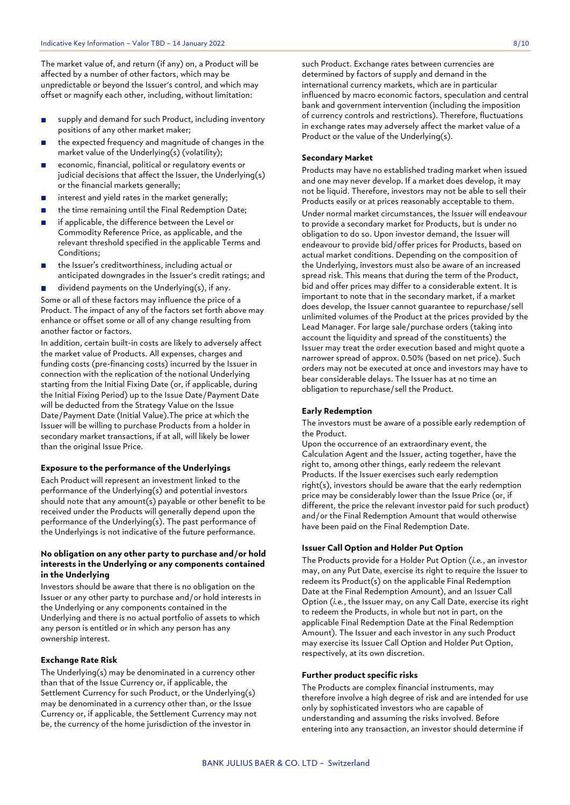The market value of, and return (if any) on, a Product will be affected by a number of other factors, which may be unpredictable or beyond the Issuer's control, and which may offset or magnify each other, including, without limitation:

- supply and demand for such Product, including inventory  $\mathbf{r}$ positions of any other market maker;
- the expected frequency and magnitude of changes in the market value of the Underlying(s) (volatility);
- economic, financial, political or regulatory events or  $\mathbf{r}$ judicial decisions that affect the Issuer, the Underlying(s) or the financial markets generally;
- interest and yield rates in the market generally;  $\blacksquare$
- the time remaining until the Final Redemption Date;  $\blacksquare$
- if applicable, the difference between the Level or  $\blacksquare$ Commodity Reference Price, as applicable, and the relevant threshold specified in the applicable Terms and Conditions;
- the Issuer's creditworthiness, including actual or anticipated downgrades in the Issuer's credit ratings; and
- dividend payments on the Underlying(s), if any.  $\mathbf{r}$ Some or all of these factors may influence the price of a Product. The impact of any of the factors set forth above may enhance or offset some or all of any change resulting from another factor or factors.

In addition, certain built-in costs are likely to adversely affect the market value of Products. All expenses, charges and funding costs (pre-financing costs) incurred by the Issuer in connection with the replication of the notional Underlying starting from the Initial Fixing Date (or, if applicable, during the Initial Fixing Period) up to the Issue Date/Payment Date will be deducted from the Strategy Value on the Issue Date/Payment Date (Initial Value).The price at which the Issuer will be willing to purchase Products from a holder in secondary market transactions, if at all, will likely be lower than the original Issue Price.

## **Exposure to the performance of the Underlyings**

Each Product will represent an investment linked to the performance of the Underlying(s) and potential investors should note that any amount(s) payable or other benefit to be received under the Products will generally depend upon the performance of the Underlying(s). The past performance of the Underlyings is not indicative of the future performance.

## **No obligation on any other party to purchase and/or hold interests in the Underlying or any components contained in the Underlying**

Investors should be aware that there is no obligation on the Issuer or any other party to purchase and/or hold interests in the Underlying or any components contained in the Underlying and there is no actual portfolio of assets to which any person is entitled or in which any person has any ownership interest.

#### **Exchange Rate Risk**

The Underlying(s) may be denominated in a currency other than that of the Issue Currency or, if applicable, the Settlement Currency for such Product, or the Underlying(s) may be denominated in a currency other than, or the Issue Currency or, if applicable, the Settlement Currency may not be, the currency of the home jurisdiction of the investor in

such Product. Exchange rates between currencies are determined by factors of supply and demand in the international currency markets, which are in particular influenced by macro economic factors, speculation and central bank and government intervention (including the imposition of currency controls and restrictions). Therefore, fluctuations in exchange rates may adversely affect the market value of a Product or the value of the Underlying(s).

## **Secondary Market**

Products may have no established trading market when issued and one may never develop. If a market does develop, it may not be liquid. Therefore, investors may not be able to sell their Products easily or at prices reasonably acceptable to them. Under normal market circumstances, the Issuer will endeavour to provide a secondary market for Products, but is under no obligation to do so. Upon investor demand, the Issuer will endeavour to provide bid/offer prices for Products, based on actual market conditions. Depending on the composition of the Underlying, investors must also be aware of an increased spread risk. This means that during the term of the Product, bid and offer prices may differ to a considerable extent. It is important to note that in the secondary market, if a market does develop, the Issuer cannot guarantee to repurchase/sell unlimited volumes of the Product at the prices provided by the Lead Manager. For large sale/purchase orders (taking into account the liquidity and spread of the constituents) the Issuer may treat the order execution based and might quote a narrower spread of approx. 0.50% (based on net price). Such orders may not be executed at once and investors may have to bear considerable delays. The Issuer has at no time an obligation to repurchase/sell the Product.

#### **Early Redemption**

The investors must be aware of a possible early redemption of the Product.

Upon the occurrence of an extraordinary event, the Calculation Agent and the Issuer, acting together, have the right to, among other things, early redeem the relevant Products. If the Issuer exercises such early redemption right(s), investors should be aware that the early redemption price may be considerably lower than the Issue Price (or, if different, the price the relevant investor paid for such product) and/or the Final Redemption Amount that would otherwise have been paid on the Final Redemption Date.

## **Issuer Call Option and Holder Put Option**

The Products provide for a Holder Put Option (*i.e.*, an investor may, on any Put Date, exercise its right to require the Issuer to redeem its Product(s) on the applicable Final Redemption Date at the Final Redemption Amount), and an Issuer Call Option (*i.e.*, the Issuer may, on any Call Date, exercise its right to redeem the Products, in whole but not in part, on the applicable Final Redemption Date at the Final Redemption Amount). The Issuer and each investor in any such Product may exercise its Issuer Call Option and Holder Put Option, respectively, at its own discretion.

## **Further product specific risks**

The Products are complex financial instruments, may therefore involve a high degree of risk and are intended for use only by sophisticated investors who are capable of understanding and assuming the risks involved. Before entering into any transaction, an investor should determine if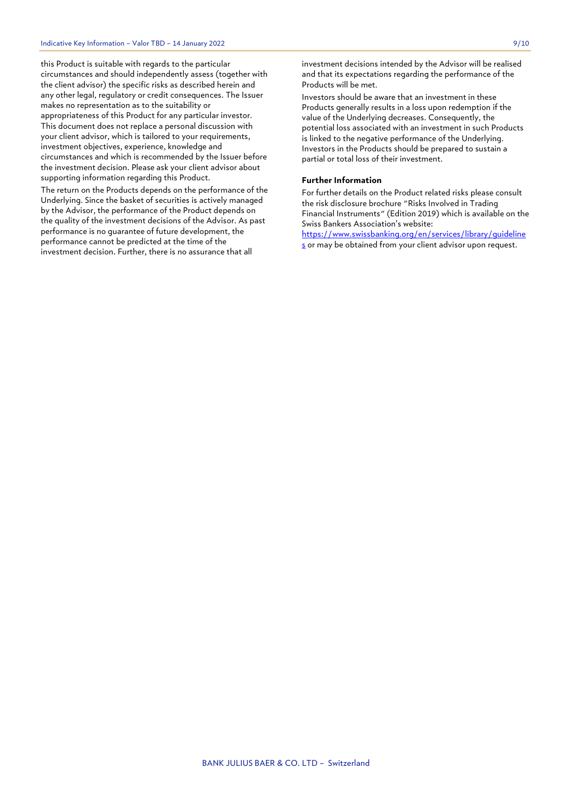this Product is suitable with regards to the particular circumstances and should independently assess (together with the client advisor) the specific risks as described herein and any other legal, regulatory or credit consequences. The Issuer makes no representation as to the suitability or appropriateness of this Product for any particular investor. This document does not replace a personal discussion with your client advisor, which is tailored to your requirements, investment objectives, experience, knowledge and circumstances and which is recommended by the Issuer before the investment decision. Please ask your client advisor about supporting information regarding this Product.

The return on the Products depends on the performance of the Underlying. Since the basket of securities is actively managed by the Advisor, the performance of the Product depends on the quality of the investment decisions of the Advisor. As past performance is no guarantee of future development, the performance cannot be predicted at the time of the investment decision. Further, there is no assurance that all

investment decisions intended by the Advisor will be realised and that its expectations regarding the performance of the Products will be met.

Investors should be aware that an investment in these Products generally results in a loss upon redemption if the value of the Underlying decreases. Consequently, the potential loss associated with an investment in such Products is linked to the negative performance of the Underlying. Investors in the Products should be prepared to sustain a partial or total loss of their investment.

## **Further Information**

For further details on the Product related risks please consult the risk disclosure brochure "Risks Involved in Trading Financial Instruments" (Edition 2019) which is available on the Swiss Bankers Association's website:

[https://www.swissbanking.org/en/services/library/guideline](https://www.swissbanking.org/en/services/library/guidelines) [s](https://www.swissbanking.org/en/services/library/guidelines) or may be obtained from your client advisor upon request.